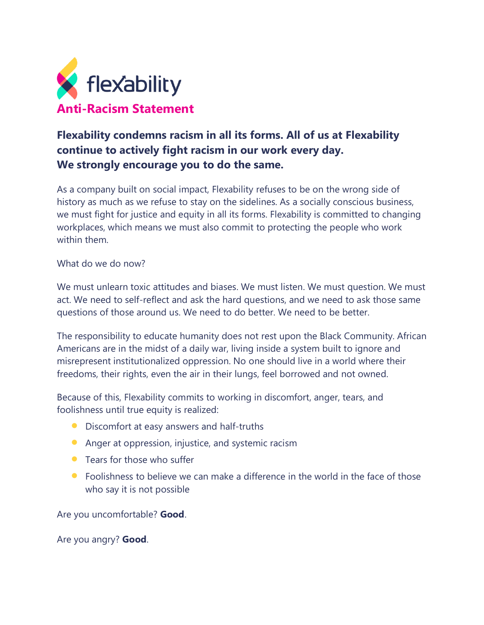

## **Flexability condemns racism in all its forms. All of us at Flexability continue to actively fight racism in our work every day. We strongly encourage you to do the same.**

As a company built on social impact, Flexability refuses to be on the wrong side of history as much as we refuse to stay on the sidelines. As a socially conscious business, we must fight for justice and equity in all its forms. Flexability is committed to changing workplaces, which means we must also commit to protecting the people who work within them.

What do we do now?

We must unlearn toxic attitudes and biases. We must listen. We must question. We must act. We need to self-reflect and ask the hard questions, and we need to ask those same questions of those around us. We need to do better. We need to be better.

The responsibility to educate humanity does not rest upon the Black Community. African Americans are in the midst of a daily war, living inside a system built to ignore and misrepresent institutionalized oppression. No one should live in a world where their freedoms, their rights, even the air in their lungs, feel borrowed and not owned.

Because of this, Flexability commits to working in discomfort, anger, tears, and foolishness until true equity is realized:

- Discomfort at easy answers and half-truths
- Anger at oppression, injustice, and systemic racism
- **•** Tears for those who suffer
- Foolishness to believe we can make a difference in the world in the face of those who say it is not possible

Are you uncomfortable? **Good**.

Are you angry? **Good**.